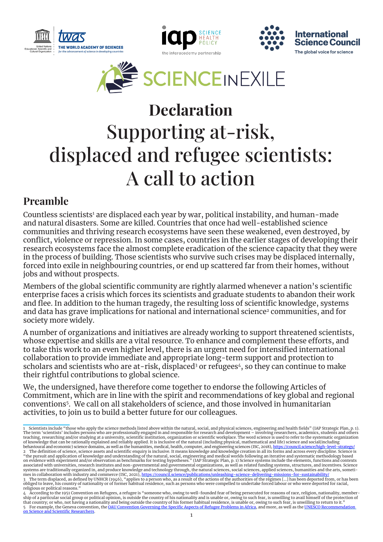







# Supporting at-risk, displaced and refugee scientists: A call to action Declaration

## Preamble

Countless scientists<sup>1</sup> are displaced each year by war, political instability, and human-made and natural disasters. Some are killed. Countries that once had well-established science communities and thriving research ecosystems have seen these weakened, even destroyed, by conflict, violence or repression. In some cases, countries in the earlier stages of developing their research ecosystems face the almost complete eradication of the science capacity that they were in the process of building. Those scientists who survive such crises may be displaced internally, forced into exile in neighbouring countries, or end up scattered far from their homes, without jobs and without prospects.

Members of the global scientific community are rightly alarmed whenever a nation's scientific enterprise faces a crisis which forces its scientists and graduate students to abandon their work and flee. In addition to the human tragedy, the resulting loss of scientific knowledge, systems and data has grave implications for national and international science<sup>2</sup> communities, and for society more widely.

A number of organizations and initiatives are already working to support threatened scientists, whose expertise and skills are a vital resource. To enhance and complement these efforts, and to take this work to an even higher level, there is an urgent need for intensified international collaboration to provide immediate and appropriate long-term support and protection to scholars and scientists who are at-risk, displaced<sup>3</sup> or refugees<sup>4</sup>, so they can continue to make their rightful contributions to global science.

We, the undersigned, have therefore come together to endorse the following Articles of Commitment, which are in line with the spirit and recommendations of key global and regional conventions5. We call on all stakeholders of science, and those involved in humanitarian activities, to join us to build a better future for our colleagues.

<sup>1</sup> Scientists include "those who apply the science methods listed above within the natural, social, and physical sciences, engineering and health fields" (IAP Strategic Plan, p. 1).<br>The term 'scientists' includes persons of knowledge that can be rationally explained and reliably applied. It is inclusive of the natural (including physical, mathematical and life) science and social(including<br>2 The definition of science domains, as well as th associated with universities, research institutes and non-governmental and governmental organizations, as well as related funding systems, structures, and incentives. Science<br>systems are traditionally organized in, and pro religious or political reasons."

<sup>4</sup> According to the 1951 Convention on Refugees, a refugee is "someone who, owing to well-founded fear of being persecuted for reasons of race, religion, nationality, member-<br>ship of a particular social group or political 5 For example, the Geneva convention, the <u>OAU Convention Governing the Specific Aspects of Refugee Problems in Africa,</u> and more, as well as the <u>UNESCO Recommendation</u><br><u>[on Science and Scientific Researchers](https://en.unesco.org/themes/ethics-science-and-technology/recommendation_science)</u>.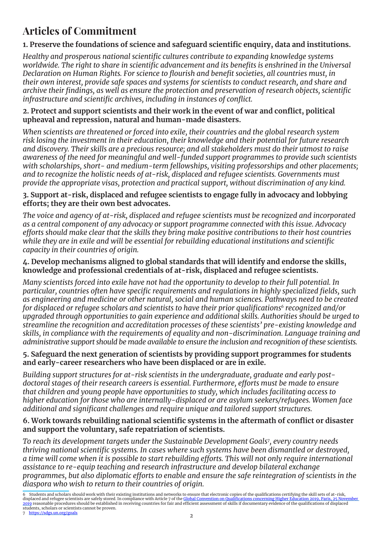# Articles of Commitment

#### **1. Preserve the foundations of science and safeguard scientific enquiry, data and institutions.**

*Healthy and prosperous national scientific cultures contribute to expanding knowledge systems worldwide. The right to share in scientific advancement and its benefits is enshrined in the Universal Declaration on Human Rights. For science to flourish and benefit societies, all countries must, in their own interest, provide safe spaces and systems for scientists to conduct research, and share and archive their findings, as well as ensure the protection and preservation of research objects, scientific infrastructure and scientific archives, including in instances of conflict.* 

#### **2. Protect and support scientists and their work in the event of war and conflict, political upheaval and repression, natural and human-made disasters.**

*When scientists are threatened or forced into exile, their countries and the global research system risk losing the investment in their education, their knowledge and their potential for future research and discovery. Their skills are a precious resource; and all stakeholders must do their utmost to raise awareness of the need for meaningful and well-funded support programmes to provide such scientists with scholarships, short- and medium-term fellowships, visiting professorships and other placements; and to recognize the holistic needs of at-risk, displaced and refugee scientists. Governments must provide the appropriate visas, protection and practical support, without discrimination of any kind.* 

#### **3. Support at-risk, displaced and refugee scientists to engage fully in advocacy and lobbying efforts; they are their own best advocates.**

*The voice and agency of at-risk, displaced and refugee scientists must be recognized and incorporated as a central component of any advocacy or support programme connected with this issue. Advocacy efforts should make clear that the skills they bring make positive contributions to their host countries while they are in exile and will be essential for rebuilding educational institutions and scientific capacity in their countries of origin.*

#### **4. Develop mechanisms aligned to global standards that will identify and endorse the skills, knowledge and professional credentials of at-risk, displaced and refugee scientists.**

*Many scientists forced into exile have not had the opportunity to develop to their full potential. In particular, countries often have specific requirements and regulations in highly specialized fields, such as engineering and medicine or other natural, social and human sciences. Pathways need to be created for displaced or refugee scholars and scientists to have their prior qualifications<sup>6</sup> recognized and/or upgraded through opportunities to gain experience and additional skills. Authorities should be urged to streamline the recognition and accreditation processes of these scientists' pre-existing knowledge and skills, in compliance with the requirements of equality and non-discrimination. Language training and administrative support should be made available to ensure the inclusion and recognition of these scientists.*

#### **5. Safeguard the next generation of scientists by providing support programmes for students and early-career researchers who have been displaced or are in exile.**

*Building support structures for at-risk scientists in the undergraduate, graduate and early postdoctoral stages of their research careers is essential. Furthermore, efforts must be made to ensure that children and young people have opportunities to study, which includes facilitating access to higher education for those who are internally-displaced or are asylum seekers/refugees. Women face additional and significant challenges and require unique and tailored support structures.*

#### **6. Work towards rebuilding national scientific systems in the aftermath of conflict or disaster and support the voluntary, safe repatriation of scientists.**

*To reach its development targets under the Sustainable Development Goals<sup>7</sup> , every country needs thriving national scientific systems. In cases where such systems have been dismantled or destroyed, a time will come when it is possible to start rebuilding efforts. This will not only require international assistance to re-equip teaching and research infrastructure and develop bilateral exchange programmes, but also diplomatic efforts to enable and ensure the safe reintegration of scientists in the diaspora who wish to return to their countries of origin.*

2

Students and scholars should work with their existing institutions and networks to ensure that electronic copies of the qualifications certifying the skill sets of at-risk,<br>splaced and refugee scientists are safely stored. displaced and refugee scientists are safely stored. In compliance with Article 7 of the <mark>Global Convention on Qualifications concerning Higher Education [2019](https://www.unesco.org/en/education/higher-education/global-convention), Paris, 25 November</mark><br>2019 reasonable procedures should be establ students, scholars or scientists cannot be proven. 7 <https://sdgs.un.org/goals>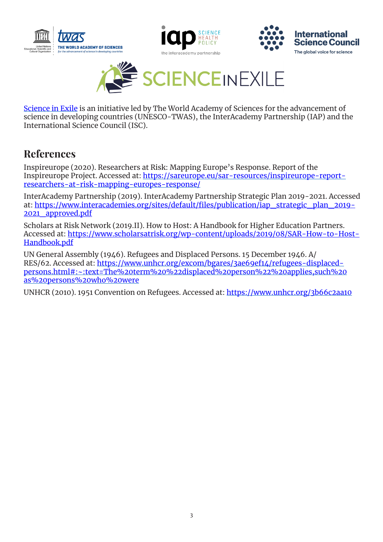







[Science in Exile](https://scienceinexile.org ) is an initiative led by The World Academy of Sciences for the advancement of science in developing countries (UNESCO-TWAS), the InterAcademy Partnership (IAP) and the International Science Council (ISC).

# References

Inspireurope (2020). Researchers at Risk: Mapping Europe's Response. Report of the Inspireurope Project. Accessed at: [https://sareurope.eu/sar-resources/inspireurope-report](https://sareurope.eu/sar-resources/inspireurope-report-researchers-at-risk-mapping-europes-response/)[researchers-at-risk-mapping-europes-response/](https://sareurope.eu/sar-resources/inspireurope-report-researchers-at-risk-mapping-europes-response/)

InterAcademy Partnership (2019). InterAcademy Partnership Strategic Plan 2019-2021. Accessed at: [https://www.interacademies.org/sites/default/files/publication/iap\\_strategic\\_plan\\_2019-](https://www.interacademies.org/sites/default/files/publication/iap_strategic_plan_2019-2021_approved.pdf) [2021\\_approved.pdf](https://www.interacademies.org/sites/default/files/publication/iap_strategic_plan_2019-2021_approved.pdf)

Scholars at Risk Network (2019.II). How to Host: A Handbook for Higher Education Partners. Accessed at: [https://www.scholarsatrisk.org/wp-content/uploads/2019/08/SAR-How-to-Host-](https://www.scholarsatrisk.org/wp-content/uploads/2019/08/SAR-How-to-Host-Handbook.pdf)[Handbook.pdf](https://www.scholarsatrisk.org/wp-content/uploads/2019/08/SAR-How-to-Host-Handbook.pdf)

UN General Assembly (1946). Refugees and Displaced Persons. 15 December 1946. A/ RES/62. Accessed at: [https://www.unhcr.org/excom/bgares/3ae69ef14/refugees-displaced](https://www.unhcr.org/excom/bgares/3ae69ef14/refugees-displaced-persons.html%23:~:text%3DThe%2520term%2520%2522displaced%2520person%2522%2520applies%2Csuch%2520as%2520persons%2520who%2520were)[persons.html#:~:text=The%20term%20%22displaced%20person%22%20applies,such%20](https://www.unhcr.org/excom/bgares/3ae69ef14/refugees-displaced-persons.html%23:~:text%3DThe%2520term%2520%2522displaced%2520person%2522%2520applies%2Csuch%2520as%2520persons%2520who%2520were) [as%20persons%20who%20were](https://www.unhcr.org/excom/bgares/3ae69ef14/refugees-displaced-persons.html%23:~:text%3DThe%2520term%2520%2522displaced%2520person%2522%2520applies%2Csuch%2520as%2520persons%2520who%2520were)

UNHCR (2010). 1951 Convention on Refugees. Accessed at:<https://www.unhcr.org/3b66c2aa10>